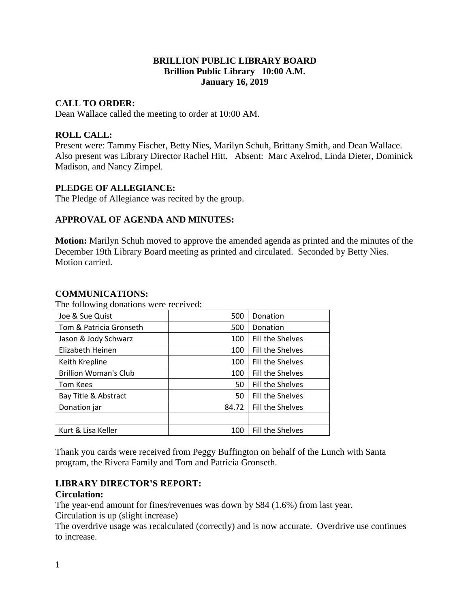## **BRILLION PUBLIC LIBRARY BOARD Brillion Public Library 10:00 A.M. January 16, 2019**

## **CALL TO ORDER:**

Dean Wallace called the meeting to order at 10:00 AM.

## **ROLL CALL:**

Present were: Tammy Fischer, Betty Nies, Marilyn Schuh, Brittany Smith, and Dean Wallace. Also present was Library Director Rachel Hitt. Absent: Marc Axelrod, Linda Dieter, Dominick Madison, and Nancy Zimpel.

## **PLEDGE OF ALLEGIANCE:**

The Pledge of Allegiance was recited by the group.

### **APPROVAL OF AGENDA AND MINUTES:**

**Motion:** Marilyn Schuh moved to approve the amended agenda as printed and the minutes of the December 19th Library Board meeting as printed and circulated. Seconded by Betty Nies. Motion carried.

### **COMMUNICATIONS:**

The following donations were received:

| Joe & Sue Quist              | 500   | Donation         |
|------------------------------|-------|------------------|
| Tom & Patricia Gronseth      | 500   | Donation         |
| Jason & Jody Schwarz         | 100   | Fill the Shelves |
| Elizabeth Heinen             | 100   | Fill the Shelves |
| Keith Krepline               | 100   | Fill the Shelves |
| <b>Brillion Woman's Club</b> | 100   | Fill the Shelves |
| <b>Tom Kees</b>              | 50    | Fill the Shelves |
| Bay Title & Abstract         | 50    | Fill the Shelves |
| Donation jar                 | 84.72 | Fill the Shelves |
|                              |       |                  |
| Kurt & Lisa Keller           | 100   | Fill the Shelves |

Thank you cards were received from Peggy Buffington on behalf of the Lunch with Santa program, the Rivera Family and Tom and Patricia Gronseth.

### **LIBRARY DIRECTOR'S REPORT:**

### **Circulation:**

The year-end amount for fines/revenues was down by \$84 (1.6%) from last year. Circulation is up (slight increase)

The overdrive usage was recalculated (correctly) and is now accurate. Overdrive use continues to increase.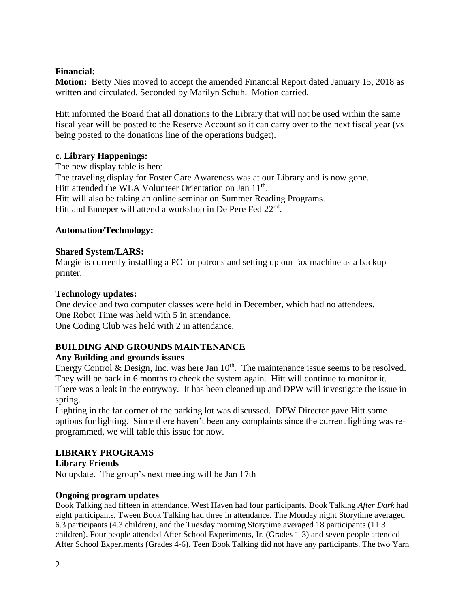## **Financial:**

**Motion:** Betty Nies moved to accept the amended Financial Report dated January 15, 2018 as written and circulated. Seconded by Marilyn Schuh. Motion carried.

Hitt informed the Board that all donations to the Library that will not be used within the same fiscal year will be posted to the Reserve Account so it can carry over to the next fiscal year (vs being posted to the donations line of the operations budget).

## **c. Library Happenings:**

The new display table is here. The traveling display for Foster Care Awareness was at our Library and is now gone. Hitt attended the WLA Volunteer Orientation on Jan 11<sup>th</sup>. Hitt will also be taking an online seminar on Summer Reading Programs. Hitt and Enneper will attend a workshop in De Pere Fed 22<sup>nd</sup>.

## **Automation/Technology:**

## **Shared System/LARS:**

Margie is currently installing a PC for patrons and setting up our fax machine as a backup printer.

## **Technology updates:**

One device and two computer classes were held in December, which had no attendees. One Robot Time was held with 5 in attendance. One Coding Club was held with 2 in attendance.

# **BUILDING AND GROUNDS MAINTENANCE**

### **Any Building and grounds issues**

Energy Control & Design, Inc. was here Jan  $10<sup>th</sup>$ . The maintenance issue seems to be resolved. They will be back in 6 months to check the system again. Hitt will continue to monitor it. There was a leak in the entryway. It has been cleaned up and DPW will investigate the issue in spring.

Lighting in the far corner of the parking lot was discussed. DPW Director gave Hitt some options for lighting. Since there haven't been any complaints since the current lighting was reprogrammed, we will table this issue for now.

# **LIBRARY PROGRAMS**

**Library Friends**

No update. The group's next meeting will be Jan 17th

### **Ongoing program updates**

Book Talking had fifteen in attendance. West Haven had four participants. Book Talking *After Dark* had eight participants. Tween Book Talking had three in attendance. The Monday night Storytime averaged 6.3 participants (4.3 children), and the Tuesday morning Storytime averaged 18 participants (11.3 children). Four people attended After School Experiments, Jr. (Grades 1-3) and seven people attended After School Experiments (Grades 4-6). Teen Book Talking did not have any participants. The two Yarn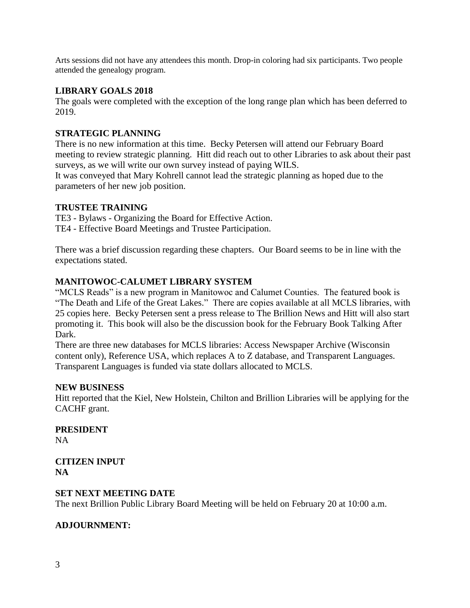Arts sessions did not have any attendees this month. Drop-in coloring had six participants. Two people attended the genealogy program.

## **LIBRARY GOALS 2018**

The goals were completed with the exception of the long range plan which has been deferred to 2019.

## **STRATEGIC PLANNING**

There is no new information at this time. Becky Petersen will attend our February Board meeting to review strategic planning. Hitt did reach out to other Libraries to ask about their past surveys, as we will write our own survey instead of paying WILS.

It was conveyed that Mary Kohrell cannot lead the strategic planning as hoped due to the parameters of her new job position.

### **TRUSTEE TRAINING**

TE3 - Bylaws - Organizing the Board for Effective Action. TE4 - Effective Board Meetings and Trustee Participation.

There was a brief discussion regarding these chapters. Our Board seems to be in line with the expectations stated.

## **MANITOWOC-CALUMET LIBRARY SYSTEM**

"MCLS Reads" is a new program in Manitowoc and Calumet Counties. The featured book is "The Death and Life of the Great Lakes." There are copies available at all MCLS libraries, with 25 copies here. Becky Petersen sent a press release to The Brillion News and Hitt will also start promoting it. This book will also be the discussion book for the February Book Talking After Dark.

There are three new databases for MCLS libraries: Access Newspaper Archive (Wisconsin content only), Reference USA, which replaces A to Z database, and Transparent Languages. Transparent Languages is funded via state dollars allocated to MCLS.

### **NEW BUSINESS**

Hitt reported that the Kiel, New Holstein, Chilton and Brillion Libraries will be applying for the CACHF grant.

### **PRESIDENT** NA

**CITIZEN INPUT NA**

### **SET NEXT MEETING DATE**

The next Brillion Public Library Board Meeting will be held on February 20 at 10:00 a.m.

### **ADJOURNMENT:**